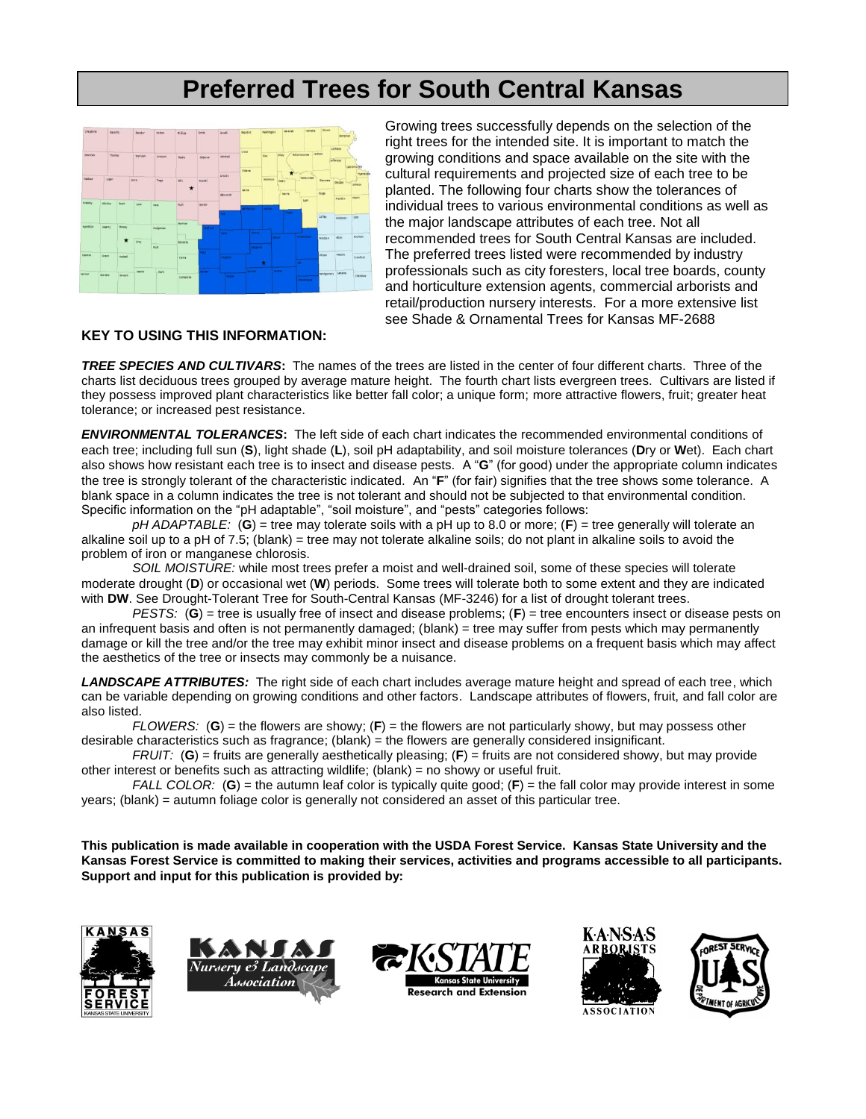## **Preferred Trees for South Central Kansas**



Growing trees successfully depends on the selection of the right trees for the intended site. It is important to match the growing conditions and space available on the site with the cultural requirements and projected size of each tree to be planted. The following four charts show the tolerances of individual trees to various environmental conditions as well as the major landscape attributes of each tree. Not all recommended trees for South Central Kansas are included. The preferred trees listed were recommended by industry professionals such as city foresters, local tree boards, county and horticulture extension agents, commercial arborists and retail/production nursery interests. For a more extensive list see Shade & Ornamental Trees for Kansas MF-2688

## **KEY TO USING THIS INFORMATION:**

*TREE SPECIES AND CULTIVARS***:** The names of the trees are listed in the center of four different charts. Three of the charts list deciduous trees grouped by average mature height. The fourth chart lists evergreen trees. Cultivars are listed if they possess improved plant characteristics like better fall color; a unique form; more attractive flowers, fruit; greater heat tolerance; or increased pest resistance.

*ENVIRONMENTAL TOLERANCES***:** The left side of each chart indicates the recommended environmental conditions of each tree; including full sun (**S**), light shade (**L**), soil pH adaptability, and soil moisture tolerances (**D**ry or **W**et). Each chart also shows how resistant each tree is to insect and disease pests. A "**G**" (for good) under the appropriate column indicates the tree is strongly tolerant of the characteristic indicated. An "**F**" (for fair) signifies that the tree shows some tolerance. A blank space in a column indicates the tree is not tolerant and should not be subjected to that environmental condition. Specific information on the "pH adaptable", "soil moisture", and "pests" categories follows:

*pH ADAPTABLE:* (**G**) = tree may tolerate soils with a pH up to 8.0 or more; (**F**) = tree generally will tolerate an alkaline soil up to a pH of 7.5; (blank) = tree may not tolerate alkaline soils; do not plant in alkaline soils to avoid the problem of iron or manganese chlorosis.

*SOIL MOISTURE:* while most trees prefer a moist and well-drained soil, some of these species will tolerate moderate drought (**D**) or occasional wet (**W**) periods. Some trees will tolerate both to some extent and they are indicated with **DW**. See Drought-Tolerant Tree for South-Central Kansas (MF-3246) for a list of drought tolerant trees.

*PESTS:* (**G**) = tree is usually free of insect and disease problems; (**F**) = tree encounters insect or disease pests on an infrequent basis and often is not permanently damaged; (blank) = tree may suffer from pests which may permanently damage or kill the tree and/or the tree may exhibit minor insect and disease problems on a frequent basis which may affect the aesthetics of the tree or insects may commonly be a nuisance.

*LANDSCAPE ATTRIBUTES:* The right side of each chart includes average mature height and spread of each tree, which can be variable depending on growing conditions and other factors. Landscape attributes of flowers, fruit, and fall color are also listed.

*FLOWERS:* (**G**) = the flowers are showy; (**F**) = the flowers are not particularly showy, but may possess other desirable characteristics such as fragrance; (blank) = the flowers are generally considered insignificant.

*FRUIT:* (**G**) = fruits are generally aesthetically pleasing; (**F**) = fruits are not considered showy, but may provide other interest or benefits such as attracting wildlife; (blank) = no showy or useful fruit.

*FALL COLOR:* (**G**) = the autumn leaf color is typically quite good; (**F**) = the fall color may provide interest in some years; (blank) = autumn foliage color is generally not considered an asset of this particular tree.

**This publication is made available in cooperation with the USDA Forest Service. Kansas State University and the Kansas Forest Service is committed to making their services, activities and programs accessible to all participants. Support and input for this publication is provided by:**









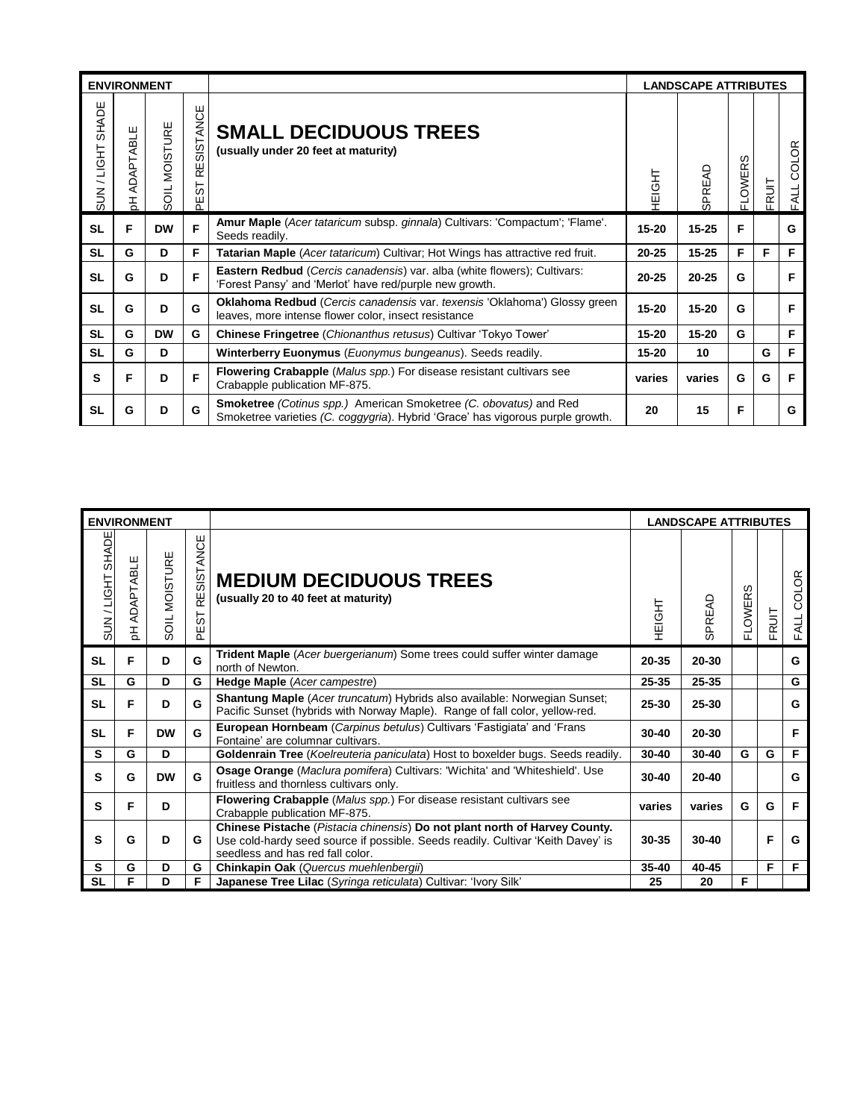|                    | <b>ENVIRONMENT</b>             |                         |                           |                                                                                                                                                            | <b>LANDSCAPE ATTRIBUTES</b> |                         |                    |       |               |  |
|--------------------|--------------------------------|-------------------------|---------------------------|------------------------------------------------------------------------------------------------------------------------------------------------------------|-----------------------------|-------------------------|--------------------|-------|---------------|--|
| SHADE<br>SUN/LIGHT | ш<br><b>PTABI</b><br>ADAI<br>공 | MOISTURE<br><b>TICS</b> | SISTANCE<br>řΰ<br>55<br>把 | <b>SMALL DECIDUOUS TREES</b><br>(usually under 20 feet at maturity)                                                                                        | 다<br>이쿠                     | PREAD<br>$\overline{c}$ | ഗ<br><b>FLOWER</b> | FRUIT | COLOR<br>FALL |  |
| <b>SL</b>          | F                              | <b>DW</b>               | F                         | Amur Maple (Acer tataricum subsp. ginnala) Cultivars: 'Compactum'; 'Flame'.<br>Seeds readily.                                                              | $15 - 20$                   | $15 - 25$               | F                  |       | G             |  |
| <b>SL</b>          | G                              | D                       | F                         | Tatarian Maple (Acer tataricum) Cultivar; Hot Wings has attractive red fruit.                                                                              | $20 - 25$                   | $15 - 25$               | F                  | F     | F             |  |
| <b>SL</b>          | G                              | D                       | F                         | Eastern Redbud (Cercis canadensis) var. alba (white flowers); Cultivars:<br>'Forest Pansy' and 'Merlot' have red/purple new growth.                        | $20 - 25$                   | $20 - 25$               | G                  |       | F             |  |
| <b>SL</b>          | G                              | D                       | G                         | <b>Oklahoma Redbud</b> (Cercis canadensis var. texensis 'Oklahoma') Glossy green<br>leaves, more intense flower color, insect resistance                   | $15 - 20$                   | $15 - 20$               | G                  |       | F             |  |
| <b>SL</b>          | G                              | <b>DW</b>               | G                         | Chinese Fringetree (Chionanthus retusus) Cultivar 'Tokyo Tower'                                                                                            | $15 - 20$                   | $15 - 20$               | G                  |       | F             |  |
| <b>SL</b>          | G                              | D                       |                           | Winterberry Euonymus (Euonymus bungeanus). Seeds readily.                                                                                                  | $15 - 20$                   | 10                      |                    | G     | F             |  |
| s                  | F                              | D                       | F                         | <b>Flowering Crabapple</b> (Malus spp.) For disease resistant cultivars see<br>Crabapple publication MF-875.                                               | varies                      | varies                  | G                  | G     | F             |  |
| <b>SL</b>          | G                              | D                       | G                         | <b>Smoketree</b> (Cotinus spp.) American Smoketree (C. obovatus) and Red<br>Smoketree varieties (C. coggygria). Hybrid 'Grace' has vigorous purple growth. | 20                          | 15                      | F                  |       | G             |  |

| <b>ENVIRONMENT</b> |                |                             |                          |                                                                                                                                                                                                    | <b>LANDSCAPE ATTRIBUTES</b> |           |                    |       |                      |  |
|--------------------|----------------|-----------------------------|--------------------------|----------------------------------------------------------------------------------------------------------------------------------------------------------------------------------------------------|-----------------------------|-----------|--------------------|-------|----------------------|--|
| SUN / LIGHT SHADE  | ADAPTABLE<br>공 | MOISTURE<br>SO <sub>L</sub> | SISTANCE<br>띭<br>55<br>꾠 | <b>MEDIUM DECIDUOUS TREES</b><br>(usually 20 to 40 feet at maturity)                                                                                                                               | <b>HioHi</b>                | SPREAD    | ഗ<br><b>FLOWER</b> | FRUIT | <b>COLOR</b><br>FALL |  |
| <b>SL</b>          | F              | D                           | G                        | Trident Maple (Acer buergerianum) Some trees could suffer winter damage<br>north of Newton.                                                                                                        | 20-35                       | 20-30     |                    |       | G                    |  |
| <b>SL</b>          | G              | D                           | G                        | Hedge Maple (Acer campestre)                                                                                                                                                                       | $25 - 35$                   | 25-35     |                    |       | G                    |  |
| <b>SL</b>          | F              | D                           | G                        | <b>Shantung Maple</b> (Acer truncatum) Hybrids also available: Norwegian Sunset;<br>Pacific Sunset (hybrids with Norway Maple). Range of fall color, yellow-red.                                   | $25 - 30$                   | 25-30     |                    |       | G                    |  |
| <b>SL</b>          | Е              | <b>DW</b>                   | G                        | European Hornbeam (Carpinus betulus) Cultivars 'Fastigiata' and 'Frans<br>Fontaine' are columnar cultivars.                                                                                        | $30 - 40$                   | 20-30     |                    |       | F                    |  |
| S                  | G              | D                           |                          | Goldenrain Tree (Koelreuteria paniculata) Host to boxelder bugs. Seeds readily.                                                                                                                    | $30 - 40$                   | $30 - 40$ | G                  | G     | F                    |  |
| S                  | G              | <b>DW</b>                   | G                        | <b>Osage Orange (Maclura pomifera) Cultivars: 'Wichita' and 'Whiteshield'. Use</b><br>fruitless and thornless cultivars only.                                                                      | $30 - 40$                   | $20 - 40$ |                    |       | G                    |  |
| S                  | F              | D                           |                          | <b>Flowering Crabapple</b> ( <i>Malus spp.</i> ) For disease resistant cultivars see<br>Crabapple publication MF-875.                                                                              | varies                      | varies    | G                  | G     | F                    |  |
| S                  | G              | D                           | G                        | Chinese Pistache (Pistacia chinensis) Do not plant north of Harvey County.<br>Use cold-hardy seed source if possible. Seeds readily. Cultivar 'Keith Davey' is<br>seedless and has red fall color. | 30-35                       | $30 - 40$ |                    | F     | G                    |  |
| s                  | G              | D                           | G                        | Chinkapin Oak (Quercus muehlenbergii)                                                                                                                                                              | $35 - 40$                   | 40-45     |                    | F     | F                    |  |
| <b>SL</b>          | F              | D                           | F                        | Japanese Tree Lilac (Syringa reticulata) Cultivar: 'Ivory Silk'                                                                                                                                    | 25                          | 20        | F                  |       |                      |  |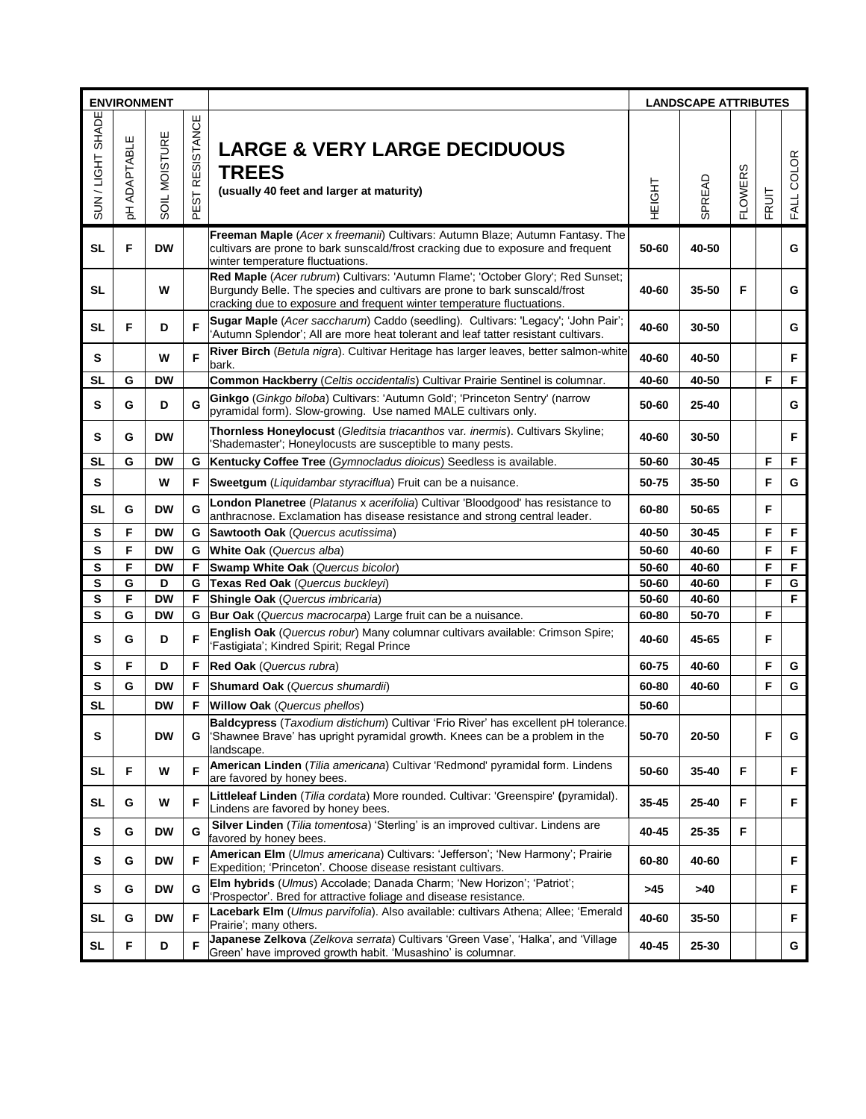| <b>ENVIRONMENT</b> |                |                      |                                          |                                                                                                                                                                                                                                         | <b>LANDSCAPE ATTRIBUTES</b> |        |                |       |            |  |
|--------------------|----------------|----------------------|------------------------------------------|-----------------------------------------------------------------------------------------------------------------------------------------------------------------------------------------------------------------------------------------|-----------------------------|--------|----------------|-------|------------|--|
| SUN/LIGHT SHADE    | ADAPTABLE<br>공 | <b>SOIL MOISTURE</b> | <b>STANCE</b><br><b>RESI</b><br>EST<br>௳ | <b>LARGE &amp; VERY LARGE DECIDUOUS</b><br><b>TREES</b><br>(usually 40 feet and larger at maturity)                                                                                                                                     | <b>HEIGHT</b>               | SPREAD | <b>FLOWERS</b> | FRUIT | FALL COLOR |  |
| <b>SL</b>          | F              | <b>DW</b>            |                                          | Freeman Maple (Acer x freemanii) Cultivars: Autumn Blaze; Autumn Fantasy. The<br>cultivars are prone to bark sunscald/frost cracking due to exposure and frequent<br>winter temperature fluctuations.                                   | 50-60                       | 40-50  |                |       | G          |  |
| SL                 |                | W                    |                                          | Red Maple (Acer rubrum) Cultivars: 'Autumn Flame'; 'October Glory'; Red Sunset;<br>Burgundy Belle. The species and cultivars are prone to bark sunscald/frost<br>cracking due to exposure and frequent winter temperature fluctuations. | 40-60                       | 35-50  | F              |       | G          |  |
| SL                 | F              | D                    | F                                        | Sugar Maple (Acer saccharum) Caddo (seedling). Cultivars: 'Legacy'; 'John Pair';<br>'Autumn Splendor'; All are more heat tolerant and leaf tatter resistant cultivars.                                                                  | 40-60                       | 30-50  |                |       | G          |  |
| s                  |                | W                    | F                                        | River Birch (Betula nigra). Cultivar Heritage has larger leaves, better salmon-white<br>bark.                                                                                                                                           | 40-60                       | 40-50  |                |       | F          |  |
| SL                 | G              | <b>DW</b>            |                                          | Common Hackberry (Celtis occidentalis) Cultivar Prairie Sentinel is columnar.                                                                                                                                                           | 40-60                       | 40-50  |                | F     | F          |  |
| s                  | G              | D                    | G                                        | Ginkgo (Ginkgo biloba) Cultivars: 'Autumn Gold'; 'Princeton Sentry' (narrow<br>pyramidal form). Slow-growing. Use named MALE cultivars only.                                                                                            | 50-60                       | 25-40  |                |       | G          |  |
| s                  | G              | <b>DW</b>            |                                          | Thornless Honeylocust (Gleditsia triacanthos var. inermis). Cultivars Skyline:<br>'Shademaster'; Honeylocusts are susceptible to many pests.                                                                                            | 40-60                       | 30-50  |                |       | F          |  |
| SL                 | G              | <b>DW</b>            | G                                        | Kentucky Coffee Tree (Gymnocladus dioicus) Seedless is available.                                                                                                                                                                       | 50-60                       | 30-45  |                | F     | F          |  |
| s                  |                | W                    | F.                                       | Sweetgum (Liquidambar styraciflua) Fruit can be a nuisance.                                                                                                                                                                             | 50-75                       | 35-50  |                | F     | G          |  |
| <b>SL</b>          | G              | <b>DW</b>            | G                                        | London Planetree (Platanus x acerifolia) Cultivar 'Bloodgood' has resistance to<br>anthracnose. Exclamation has disease resistance and strong central leader.                                                                           | 60-80                       | 50-65  |                | F     |            |  |
| s                  | F              | DW                   | G                                        | Sawtooth Oak (Quercus acutissima)                                                                                                                                                                                                       | 40-50                       | 30-45  |                | F     | F.         |  |
| s                  | F              | <b>DW</b>            | G                                        | White Oak (Quercus alba)                                                                                                                                                                                                                | 50-60                       | 40-60  |                | F     | F          |  |
| S                  | F              | <b>DW</b>            | F                                        | Swamp White Oak (Quercus bicolor)                                                                                                                                                                                                       | 50-60                       | 40-60  |                | F     | F          |  |
| S                  | G              | D                    | G                                        | Texas Red Oak (Quercus buckleyi)                                                                                                                                                                                                        | 50-60                       | 40-60  |                | F     | G          |  |
| S                  | F              | <b>DW</b>            | F.                                       | Shingle Oak (Quercus imbricaria)                                                                                                                                                                                                        | 50-60                       | 40-60  |                |       | F          |  |
| S                  | G              | <b>DW</b>            | G                                        | Bur Oak (Quercus macrocarpa) Large fruit can be a nuisance.                                                                                                                                                                             | 60-80                       | 50-70  |                | F     |            |  |
| s                  | G              | D                    | F                                        | English Oak (Quercus robur) Many columnar cultivars available: Crimson Spire;<br>'Fastigiata'; Kindred Spirit; Regal Prince                                                                                                             | 40-60                       | 45-65  |                | F     |            |  |
| s                  | F              | D                    | F                                        | Red Oak (Quercus rubra)                                                                                                                                                                                                                 | 60-75                       | 40-60  |                | F     | G          |  |
| S                  | G              | <b>DW</b>            | F.                                       | Shumard Oak (Quercus shumardii)                                                                                                                                                                                                         | 60-80                       | 40-60  |                | F     | G          |  |
| <b>SL</b>          |                | <b>DW</b>            | F                                        | <b>Willow Oak</b> (Quercus phellos)                                                                                                                                                                                                     | 50-60                       |        |                |       |            |  |
| S                  |                | <b>DW</b>            | G                                        | Baldcypress (Taxodium distichum) Cultivar 'Frio River' has excellent pH tolerance.<br>'Shawnee Brave' has upright pyramidal growth. Knees can be a problem in the<br>landscape.                                                         | 50-70                       | 20-50  |                | F     | G          |  |
| SL                 | F              | W                    | F                                        | American Linden (Tilia americana) Cultivar 'Redmond' pyramidal form. Lindens<br>are favored by honey bees.                                                                                                                              | 50-60                       | 35-40  | F              |       | F          |  |
| SL                 | G              | W                    | F                                        | Littleleaf Linden (Tilia cordata) More rounded. Cultivar: 'Greenspire' (pyramidal).<br>Lindens are favored by honey bees.                                                                                                               | 35-45                       | 25-40  | F              |       | F          |  |
| S                  | G              | <b>DW</b>            | G                                        | Silver Linden (Tilia tomentosa) 'Sterling' is an improved cultivar. Lindens are<br>favored by honey bees.                                                                                                                               | 40-45                       | 25-35  | F              |       |            |  |
| s                  | G              | <b>DW</b>            | F                                        | American Elm (Ulmus americana) Cultivars: 'Jefferson'; 'New Harmony'; Prairie<br>Expedition; 'Princeton'. Choose disease resistant cultivars.                                                                                           | 60-80                       | 40-60  |                |       | F          |  |
| S                  | G              | <b>DW</b>            | G                                        | Elm hybrids (Ulmus) Accolade; Danada Charm; 'New Horizon'; 'Patriot';<br>'Prospector'. Bred for attractive foliage and disease resistance.                                                                                              | >45                         | >40    |                |       | F          |  |
| SL                 | G              | <b>DW</b>            | F                                        | Lacebark Elm (Ulmus parvifolia). Also available: cultivars Athena; Allee; 'Emerald<br>Prairie'; many others.                                                                                                                            | 40-60                       | 35-50  |                |       | F.         |  |
| <b>SL</b>          | F              | D                    | F                                        | Japanese Zelkova (Zelkova serrata) Cultivars 'Green Vase', 'Halka', and 'Village<br>Green' have improved growth habit. 'Musashino' is columnar.                                                                                         | 40-45                       | 25-30  |                |       | G          |  |